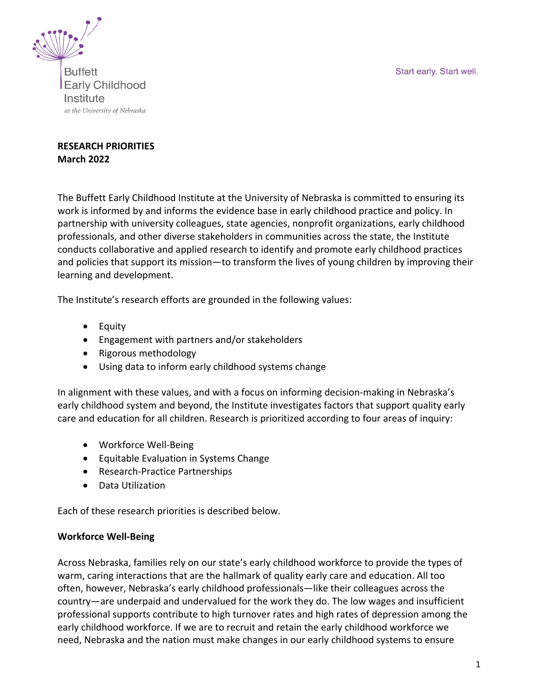Start early. Start well.



**Buffett Early Childhood** Institute at the University of Nebraska

# **RESEARCH PRIORITIES March 2022**

The Buffett Early Childhood Institute at the University of Nebraska is committed to ensuring its work is informed by and informs the evidence base in early childhood practice and policy. In partnership with university colleagues, state agencies, nonprofit organizations, early childhood professionals, and other diverse stakeholders in communities across the state, the Institute conducts collaborative and applied research to identify and promote early childhood practices and policies that support its mission—to transform the lives of young children by improving their learning and development.

The Institute's research efforts are grounded in the following values:

- Equity
- Engagement with partners and/or stakeholders
- Rigorous methodology
- Using data to inform early childhood systems change

In alignment with these values, and with a focus on informing decision-making in Nebraska's early childhood system and beyond, the Institute investigates factors that support quality early care and education for all children. Research is prioritized according to four areas of inquiry:

- Workforce Well-Being
- Equitable Evaluation in Systems Change
- Research-Practice Partnerships
- Data Utilization

Each of these research priorities is described below.

### **Workforce Well-Being**

Across Nebraska, families rely on our state's early childhood workforce to provide the types of warm, caring interactions that are the hallmark of quality early care and education. All too often, however, Nebraska's early childhood professionals—like their colleagues across the country—are underpaid and undervalued for the work they do. The low wages and insufficient professional supports contribute to high turnover rates and high rates of depression among the early childhood workforce. If we are to recruit and retain the early childhood workforce we need, Nebraska and the nation must make changes in our early childhood systems to ensure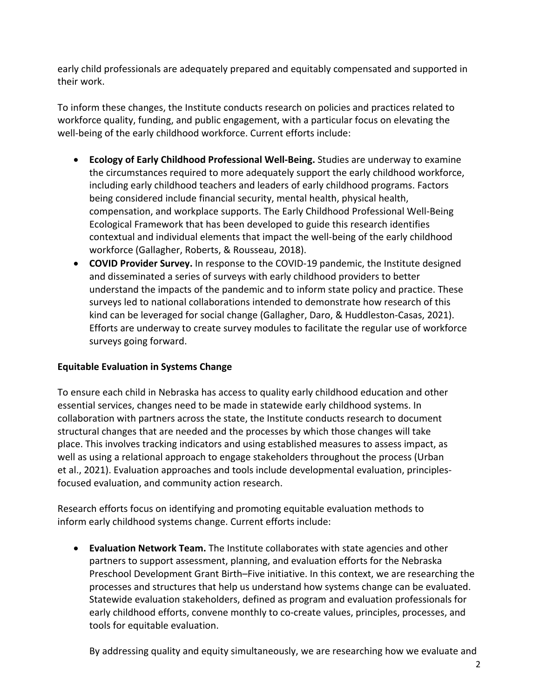early child professionals are adequately prepared and equitably compensated and supported in their work.

To inform these changes, the Institute conducts research on policies and practices related to workforce quality, funding, and public engagement, with a particular focus on elevating the well-being of the early childhood workforce. Current efforts include:

- **Ecology of Early Childhood Professional Well-Being.** Studies are underway to examine the circumstances required to more adequately support the early childhood workforce, including early childhood teachers and leaders of early childhood programs. Factors being considered include financial security, mental health, physical health, compensation, and workplace supports. The Early Childhood Professional Well-Being Ecological Framework that has been developed to guide this research identifies contextual and individual elements that impact the well-being of the early childhood workforce (Gallagher, Roberts, & Rousseau, 2018).
- **COVID Provider Survey.** In response to the COVID-19 pandemic, the Institute designed and disseminated a series of surveys with early childhood providers to better understand the impacts of the pandemic and to inform state policy and practice. These surveys led to national collaborations intended to demonstrate how research of this kind can be leveraged for social change (Gallagher, Daro, & Huddleston-Casas, 2021). Efforts are underway to create survey modules to facilitate the regular use of workforce surveys going forward.

### **Equitable Evaluation in Systems Change**

To ensure each child in Nebraska has access to quality early childhood education and other essential services, changes need to be made in statewide early childhood systems. In collaboration with partners across the state, the Institute conducts research to document structural changes that are needed and the processes by which those changes will take place. This involves tracking indicators and using established measures to assess impact, as well as using a relational approach to engage stakeholders throughout the process (Urban et al., 2021). Evaluation approaches and tools include developmental evaluation, principlesfocused evaluation, and community action research.

Research efforts focus on identifying and promoting equitable evaluation methods to inform early childhood systems change. Current efforts include:

• **Evaluation Network Team.** The Institute collaborates with state agencies and other partners to support assessment, planning, and evaluation efforts for the Nebraska Preschool Development Grant Birth–Five initiative. In this context, we are researching the processes and structures that help us understand how systems change can be evaluated. Statewide evaluation stakeholders, defined as program and evaluation professionals for early childhood efforts, convene monthly to co-create values, principles, processes, and tools for equitable evaluation.

By addressing quality and equity simultaneously, we are researching how we evaluate and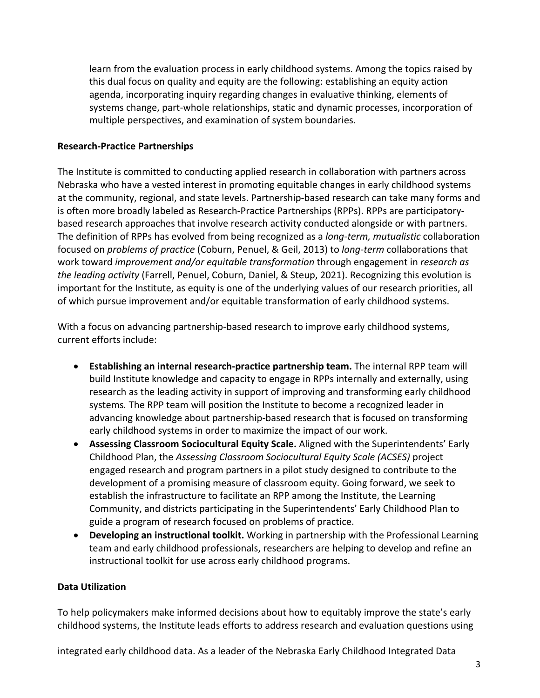learn from the evaluation process in early childhood systems. Among the topics raised by this dual focus on quality and equity are the following: establishing an equity action agenda, incorporating inquiry regarding changes in evaluative thinking, elements of systems change, part-whole relationships, static and dynamic processes, incorporation of multiple perspectives, and examination of system boundaries.

### **Research-Practice Partnerships**

The Institute is committed to conducting applied research in collaboration with partners across Nebraska who have a vested interest in promoting equitable changes in early childhood systems at the community, regional, and state levels. Partnership-based research can take many forms and is often more broadly labeled as Research-Practice Partnerships (RPPs). RPPs are participatorybased research approaches that involve research activity conducted alongside or with partners. The definition of RPPs has evolved from being recognized as a *long-term, mutualistic* collaboration focused on *problems of practice* (Coburn, Penuel, & Geil, 2013) to *long-term* collaborations that work toward *improvement and/or equitable transformation* through engagement in *research as the leading activity* (Farrell, Penuel, Coburn, Daniel, & Steup, 2021). Recognizing this evolution is important for the Institute, as equity is one of the underlying values of our research priorities, all of which pursue improvement and/or equitable transformation of early childhood systems.

With a focus on advancing partnership-based research to improve early childhood systems, current efforts include:

- **Establishing an internal research-practice partnership team.** The internal RPP team will build Institute knowledge and capacity to engage in RPPs internally and externally, using research as the leading activity in support of improving and transforming early childhood systems*.* The RPP team will position the Institute to become a recognized leader in advancing knowledge about partnership-based research that is focused on transforming early childhood systems in order to maximize the impact of our work.
- **Assessing Classroom Sociocultural Equity Scale.** Aligned with the Superintendents' Early Childhood Plan, the *Assessing Classroom Sociocultural Equity Scale (ACSES)* project engaged research and program partners in a pilot study designed to contribute to the development of a promising measure of classroom equity. Going forward, we seek to establish the infrastructure to facilitate an RPP among the Institute, the Learning Community, and districts participating in the Superintendents' Early Childhood Plan to guide a program of research focused on problems of practice.
- **Developing an instructional toolkit.** Working in partnership with the Professional Learning team and early childhood professionals, researchers are helping to develop and refine an instructional toolkit for use across early childhood programs.

### **Data Utilization**

To help policymakers make informed decisions about how to equitably improve the state's early childhood systems, the Institute leads efforts to address research and evaluation questions using

integrated early childhood data. As a leader of the Nebraska Early Childhood Integrated Data